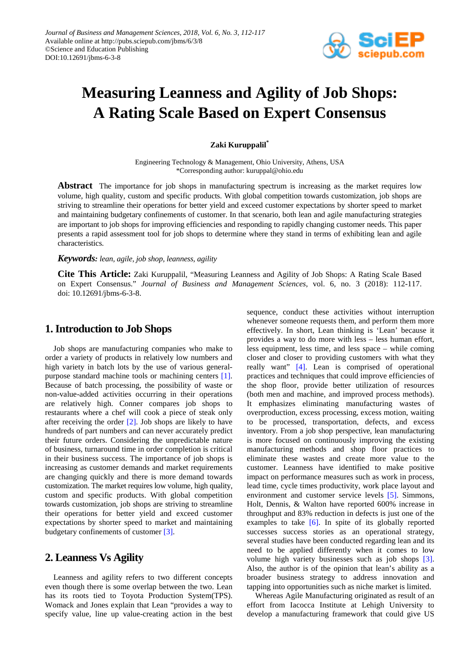

# **Measuring Leanness and Agility of Job Shops: A Rating Scale Based on Expert Consensus**

## **Zaki Kuruppalil\***

Engineering Technology & Management, Ohio University, Athens, USA \*Corresponding author: kuruppal@ohio.edu

Abstract The importance for job shops in manufacturing spectrum is increasing as the market requires low volume, high quality, custom and specific products. With global competition towards customization, job shops are striving to streamline their operations for better yield and exceed customer expectations by shorter speed to market and maintaining budgetary confinements of customer. In that scenario, both lean and agile manufacturing strategies are important to job shops for improving efficiencies and responding to rapidly changing customer needs. This paper presents a rapid assessment tool for job shops to determine where they stand in terms of exhibiting lean and agile characteristics.

#### *Keywords: lean, agile, job shop, leanness, agility*

**Cite This Article:** Zaki Kuruppalil, "Measuring Leanness and Agility of Job Shops: A Rating Scale Based on Expert Consensus." *Journal of Business and Management Sciences*, vol. 6, no. 3 (2018): 112-117. doi: 10.12691/jbms-6-3-8.

# **1. Introduction to Job Shops**

Job shops are manufacturing companies who make to order a variety of products in relatively low numbers and high variety in batch lots by the use of various generalpurpose standard machine tools or machining centers [\[1\].](#page-5-0) Because of batch processing, the possibility of waste or non-value-added activities occurring in their operations are relatively high. Conner compares job shops to restaurants where a chef will cook a piece of steak only after receiving the order [\[2\].](#page-5-1) Job shops are likely to have hundreds of part numbers and can never accurately predict their future orders. Considering the unpredictable nature of business, turnaround time in order completion is critical in their business success. The importance of job shops is increasing as customer demands and market requirements are changing quickly and there is more demand towards customization. The market requires low volume, high quality, custom and specific products. With global competition towards customization, job shops are striving to streamline their operations for better yield and exceed customer expectations by shorter speed to market and maintaining budgetary confinements of customer [\[3\].](#page-5-2)

# **2. Leanness Vs Agility**

Leanness and agility refers to two different concepts even though there is some overlap between the two. Lean has its roots tied to Toyota Production System(TPS). Womack and Jones explain that Lean "provides a way to specify value, line up value-creating action in the best sequence, conduct these activities without interruption whenever someone requests them, and perform them more effectively. In short, Lean thinking is 'Lean' because it provides a way to do more with less – less human effort, less equipment, less time, and less space – while coming closer and closer to providing customers with what they really want" [\[4\].](#page-5-3) Lean is comprised of operational practices and techniques that could improve efficiencies of the shop floor, provide better utilization of resources (both men and machine, and improved process methods). It emphasizes eliminating manufacturing wastes of overproduction, excess processing, excess motion, waiting to be processed, transportation, defects, and excess inventory. From a job shop perspective, lean manufacturing is more focused on continuously improving the existing manufacturing methods and shop floor practices to eliminate these wastes and create more value to the customer. Leanness have identified to make positive impact on performance measures such as work in process, lead time, cycle times productivity, work place layout and environment and customer service levels [\[5\].](#page-5-4) Simmons, Holt, Dennis, & Walton have reported 600% increase in throughput and 83% reduction in defects is just one of the examples to take  $[6]$ . In spite of its globally reported successes success stories as an operational strategy, several studies have been conducted regarding lean and its need to be applied differently when it comes to low volume high variety businesses such as job shops [\[3\].](#page-5-2) Also, the author is of the opinion that lean's ability as a broader business strategy to address innovation and tapping into opportunities such as niche market is limited.

Whereas Agile Manufacturing originated as result of an effort from Iacocca Institute at Lehigh University to develop a manufacturing framework that could give US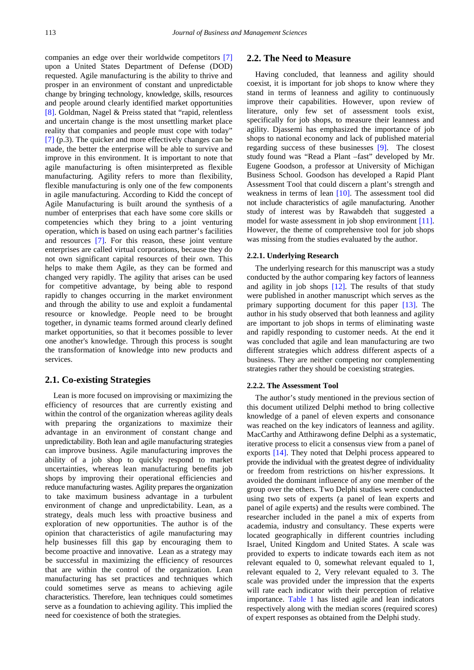companies an edge over their worldwide competitors [\[7\]](#page-5-6) upon a United States Department of Defense (DOD) requested. Agile manufacturing is the ability to thrive and prosper in an environment of constant and unpredictable change by bringing technology, knowledge, skills, resources and people around clearly identified market opportunities [\[8\].](#page-5-7) Goldman, Nagel & Preiss stated that "rapid, relentless and uncertain change is the most unsettling market place reality that companies and people must cope with today" [\[7\]](#page-5-6) (p.3). The quicker and more effectively changes can be made, the better the enterprise will be able to survive and improve in this environment. It is important to note that agile manufacturing is often misinterpreted as flexible manufacturing. Agility refers to more than flexibility, flexible manufacturing is only one of the few components in agile manufacturing. According to Kidd the concept of Agile Manufacturing is built around the synthesis of a number of enterprises that each have some core skills or competencies which they bring to a joint venturing operation, which is based on using each partner's facilities and resources [\[7\].](#page-5-6) For this reason, these joint venture enterprises are called virtual corporations, because they do not own significant capital resources of their own. This helps to make them Agile, as they can be formed and changed very rapidly. The agility that arises can be used for competitive advantage, by being able to respond rapidly to changes occurring in the market environment and through the ability to use and exploit a fundamental resource or knowledge. People need to be brought together, in dynamic teams formed around clearly defined market opportunities, so that it becomes possible to lever one another's knowledge. Through this process is sought the transformation of knowledge into new products and services.

### **2.1. Co-existing Strategies**

Lean is more focused on improvising or maximizing the efficiency of resources that are currently existing and within the control of the organization whereas agility deals with preparing the organizations to maximize their advantage in an environment of constant change and unpredictability. Both lean and agile manufacturing strategies can improve business. Agile manufacturing improves the ability of a job shop to quickly respond to market uncertainties, whereas lean manufacturing benefits job shops by improving their operational efficiencies and reduce manufacturing wastes. Agility prepares the organization to take maximum business advantage in a turbulent environment of change and unpredictability. Lean, as a strategy, deals much less with proactive business and exploration of new opportunities. The author is of the opinion that characteristics of agile manufacturing may help businesses fill this gap by encouraging them to become proactive and innovative. Lean as a strategy may be successful in maximizing the efficiency of resources that are within the control of the organization. Lean manufacturing has set practices and techniques which could sometimes serve as means to achieving agile characteristics. Therefore, lean techniques could sometimes serve as a foundation to achieving agility. This implied the need for coexistence of both the strategies.

## **2.2. The Need to Measure**

Having concluded, that leanness and agility should coexist, it is important for job shops to know where they stand in terms of leanness and agility to continuously improve their capabilities. However, upon review of literature, only few set of assessment tools exist, specifically for job shops, to measure their leanness and agility. Djassemi has emphasized the importance of job shops to national economy and lack of published material regarding success of these businesses [\[9\].](#page-5-8) The closest study found was "Read a Plant –fast" developed by Mr. Eugene Goodson, a professor at University of Michigan Business School. Goodson has developed a Rapid Plant Assessment Tool that could discern a plant's strength and weakness in terms of lean [\[10\].](#page-5-9) The assessment tool did not include characteristics of agile manufacturing. Another study of interest was by Rawabdeh that suggested a model for waste assessment in job shop environment [\[11\].](#page-5-10) However, the theme of comprehensive tool for job shops was missing from the studies evaluated by the author.

#### **2.2.1. Underlying Research**

The underlying research for this manuscript was a study conducted by the author comparing key factors of leanness and agility in job shops [\[12\].](#page-5-11) The results of that study were published in another manuscript which serves as the primary supporting document for this paper [\[13\].](#page-5-12) The author in his study observed that both leanness and agility are important to job shops in terms of eliminating waste and rapidly responding to customer needs. At the end it was concluded that agile and lean manufacturing are two different strategies which address different aspects of a business. They are neither competing nor complementing strategies rather they should be coexisting strategies.

#### **2.2.2. The Assessment Tool**

The author's study mentioned in the previous section of this document utilized Delphi method to bring collective knowledge of a panel of eleven experts and consonance was reached on the key indicators of leanness and agility. MacCarthy and Atthirawong define Delphi as a systematic, iterative process to elicit a consensus view from a panel of exports [\[14\].](#page-5-13) They noted that Delphi process appeared to provide the individual with the greatest degree of individuality or freedom from restrictions on his/her expressions. It avoided the dominant influence of any one member of the group over the others. Two Delphi studies were conducted using two sets of experts (a panel of lean experts and panel of agile experts) and the results were combined. The researcher included in the panel a mix of experts from academia, industry and consultancy. These experts were located geographically in different countries including Israel, United Kingdom and United States. A scale was provided to experts to indicate towards each item as not relevant equaled to 0, somewhat relevant equaled to 1, relevant equaled to 2, Very relevant equaled to 3. The scale was provided under the impression that the experts will rate each indicator with their perception of relative importance. [Table 1](#page-2-0) has listed agile and lean indicators respectively along with the median scores (required scores) of expert responses as obtained from the Delphi study.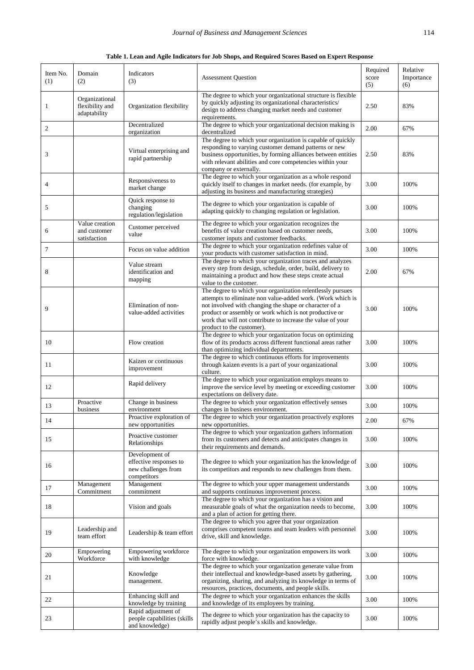**Table 1. Lean and Agile Indicators for Job Shops, and Required Scores Based on Expert Response**

<span id="page-2-0"></span>

| Item No.<br>(1) | Domain<br>(2)                                     | Indicators<br>(3)                                                              | <b>Assessment Question</b>                                                                                                                                                                                                                                                                                                               | Required<br>score<br>(5) | Relative<br>Importance<br>(6) |
|-----------------|---------------------------------------------------|--------------------------------------------------------------------------------|------------------------------------------------------------------------------------------------------------------------------------------------------------------------------------------------------------------------------------------------------------------------------------------------------------------------------------------|--------------------------|-------------------------------|
| 1               | Organizational<br>flexibility and<br>adaptability | Organization flexibility                                                       | The degree to which your organizational structure is flexible<br>by quickly adjusting its organizational characteristics/<br>design to address changing market needs and customer<br>requirements.                                                                                                                                       | 2.50                     | 83%                           |
| $\mathfrak{2}$  |                                                   | Decentralized<br>organization                                                  | The degree to which your organizational decision making is<br>decentralized                                                                                                                                                                                                                                                              | 2.00                     | 67%                           |
| 3               |                                                   | Virtual enterprising and<br>rapid partnership                                  | The degree to which your organization is capable of quickly<br>responding to varying customer demand patterns or new<br>business opportunities, by forming alliances between entities<br>with relevant abilities and core competencies within your<br>company or externally.                                                             | 2.50                     | 83%                           |
| 4               |                                                   | Responsiveness to<br>market change                                             | The degree to which your organization as a whole respond<br>quickly itself to changes in market needs. (for example, by<br>adjusting its business and manufacturing strategies)                                                                                                                                                          | 3.00                     | 100%                          |
| 5               |                                                   | Quick response to<br>changing<br>regulation/legislation                        | The degree to which your organization is capable of<br>adapting quickly to changing regulation or legislation.                                                                                                                                                                                                                           | 3.00                     | 100%                          |
| 6               | Value creation<br>and customer<br>satisfaction    | Customer perceived<br>value                                                    | The degree to which your organization recognizes the<br>benefits of value creation based on customer needs,<br>customer inputs and customer feedbacks.                                                                                                                                                                                   | 3.00                     | 100%                          |
| $\tau$          |                                                   | Focus on value addition                                                        | The degree to which your organization redefines value of<br>your products with customer satisfaction in mind.                                                                                                                                                                                                                            | 3.00                     | 100%                          |
| 8               |                                                   | Value stream<br>identification and<br>mapping                                  | The degree to which your organization traces and analyzes<br>every step from design, schedule, order, build, delivery to<br>maintaining a product and how these steps create actual<br>value to the customer.                                                                                                                            | 2.00                     | 67%                           |
| 9               |                                                   | Elimination of non-<br>value-added activities                                  | The degree to which your organization relentlessly pursues<br>attempts to eliminate non value-added work. (Work which is<br>not involved with changing the shape or character of a<br>product or assembly or work which is not productive or<br>work that will not contribute to increase the value of your<br>product to the customer). | 3.00                     | 100%                          |
| 10              |                                                   | Flow creation                                                                  | The degree to which your organization focus on optimizing<br>flow of its products across different functional areas rather<br>than optimizing individual departments.                                                                                                                                                                    | 3.00                     | 100%                          |
| 11              |                                                   | Kaizen or continuous<br>improvement                                            | The degree to which continuous efforts for improvements<br>through kaizen events is a part of your organizational<br>culture.                                                                                                                                                                                                            | 3.00                     | 100%                          |
| 12              |                                                   | Rapid delivery                                                                 | The degree to which your organization employs means to<br>improve the service level by meeting or exceeding customer<br>expectations on delivery date.                                                                                                                                                                                   | 3.00                     | 100%                          |
| 13              | Proactive<br>business                             | Change in business<br>environment                                              | The degree to which your organization effectively senses<br>changes in business environment.                                                                                                                                                                                                                                             | 3.00                     | 100%                          |
| 14              |                                                   | Proactive exploration of<br>new opportunities                                  | The degree to which your organization proactively explores<br>new opportunities.                                                                                                                                                                                                                                                         | $2.00\,$                 | 67%                           |
| 15              |                                                   | Proactive customer<br>Relationships                                            | The degree to which your organization gathers information<br>from its customers and detects and anticipates changes in<br>their requirements and demands.                                                                                                                                                                                | 3.00                     | 100%                          |
| 16              |                                                   | Development of<br>effective responses to<br>new challenges from<br>competitors | The degree to which your organization has the knowledge of<br>its competitors and responds to new challenges from them.                                                                                                                                                                                                                  | 3.00                     | 100%                          |
| 17              | Management<br>Commitment                          | Management<br>commitment                                                       | The degree to which your upper management understands<br>and supports continuous improvement process.                                                                                                                                                                                                                                    | 3.00                     | 100%                          |
| 18              |                                                   | Vision and goals                                                               | The degree to which your organization has a vision and<br>measurable goals of what the organization needs to become,<br>and a plan of action for getting there.                                                                                                                                                                          | 3.00                     | 100%                          |
| 19              | Leadership and<br>team effort                     | Leadership & team effort                                                       | The degree to which you agree that your organization<br>comprises competent teams and team leaders with personnel<br>drive, skill and knowledge.                                                                                                                                                                                         | 3.00                     | 100%                          |
| 20              | Empowering<br>Workforce                           | Empowering workforce<br>with knowledge                                         | The degree to which your organization empowers its work<br>force with knowledge.                                                                                                                                                                                                                                                         | 3.00                     | 100%                          |
| 21              |                                                   | Knowledge<br>management.                                                       | The degree to which your organization generate value from<br>their intellectual and knowledge-based assets by gathering,<br>organizing, sharing, and analyzing its knowledge in terms of<br>resources, practices, documents, and people skills.                                                                                          | 3.00                     | 100%                          |
| 22              |                                                   | Enhancing skill and<br>knowledge by training                                   | The degree to which your organization enhances the skills<br>and knowledge of its employees by training.                                                                                                                                                                                                                                 | 3.00                     | 100%                          |
| 23              |                                                   | Rapid adjustment of<br>people capabilities (skills<br>and knowledge)           | The degree to which your organization has the capacity to<br>rapidly adjust people's skills and knowledge.                                                                                                                                                                                                                               | 3.00                     | 100%                          |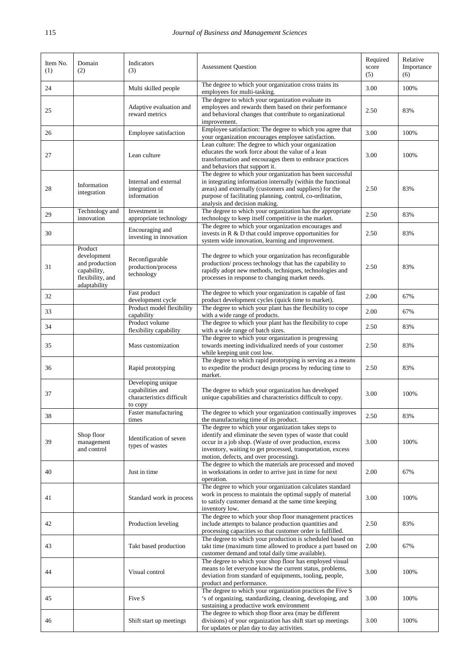| Item No.<br>(1) | Domain<br>(2)                                                                               | Indicators<br>(3)                                                             | <b>Assessment Question</b>                                                                                                                                                                                                                                                            | Required<br>score<br>(5) | Relative<br>Importance<br>(6) |
|-----------------|---------------------------------------------------------------------------------------------|-------------------------------------------------------------------------------|---------------------------------------------------------------------------------------------------------------------------------------------------------------------------------------------------------------------------------------------------------------------------------------|--------------------------|-------------------------------|
| 24              |                                                                                             | Multi skilled people                                                          | The degree to which your organization cross trains its<br>employees for multi-tasking.                                                                                                                                                                                                | 3.00                     | 100%                          |
| 25              |                                                                                             | Adaptive evaluation and<br>reward metrics                                     | The degree to which your organization evaluate its<br>employees and rewards them based on their performance<br>and behavioral changes that contribute to organizational<br>improvement.                                                                                               | 2.50                     | 83%                           |
| 26              |                                                                                             | Employee satisfaction                                                         | Employee satisfaction: The degree to which you agree that<br>your organization encourages employee satisfaction.                                                                                                                                                                      | 3.00                     | 100%                          |
| 27              |                                                                                             | Lean culture                                                                  | Lean culture: The degree to which your organization<br>educates the work force about the value of a lean<br>transformation and encourages them to embrace practices<br>and behaviors that support it.                                                                                 | 3.00                     | 100%                          |
| 28              | Information<br>integration                                                                  | Internal and external<br>integration of<br>information                        | The degree to which your organization has been successful<br>in integrating information internally (within the functional<br>areas) and externally (customers and suppliers) for the<br>purpose of facilitating planning, control, co-ordination,<br>analysis and decision making.    | 2.50                     | 83%                           |
| 29              | Technology and<br>innovation                                                                | Investment in<br>appropriate technology                                       | The degree to which your organization has the appropriate<br>technology to keep itself competitive in the market.                                                                                                                                                                     | 2.50                     | 83%                           |
| 30              |                                                                                             | Encouraging and<br>investing in innovation                                    | The degree to which your organization encourages and<br>invests in $R \& D$ that could improve opportunities for<br>system wide innovation, learning and improvement.                                                                                                                 | 2.50                     | 83%                           |
| 31              | Product<br>development<br>and production<br>capability,<br>flexibility, and<br>adaptability | Reconfigurable<br>production/process<br>technology                            | The degree to which your organization has reconfigurable<br>production/ process technology that has the capability to<br>rapidly adopt new methods, techniques, technologies and<br>processes in response to changing market needs.                                                   | 2.50                     | 83%                           |
| 32              |                                                                                             | Fast product<br>development cycle                                             | The degree to which your organization is capable of fast<br>product development cycles (quick time to market).                                                                                                                                                                        | 2.00                     | 67%                           |
| 33              |                                                                                             | Product model flexibility<br>capability                                       | The degree to which your plant has the flexibility to cope<br>with a wide range of products.                                                                                                                                                                                          | 2.00                     | 67%                           |
| 34              |                                                                                             | Product volume<br>flexibility capability                                      | The degree to which your plant has the flexibility to cope<br>with a wide range of batch sizes.                                                                                                                                                                                       | 2.50                     | 83%                           |
| 35              |                                                                                             | Mass customization                                                            | The degree to which your organization is progressing<br>towards meeting individualized needs of your customer<br>while keeping unit cost low.                                                                                                                                         | 2.50                     | 83%                           |
| 36              |                                                                                             | Rapid prototyping                                                             | The degree to which rapid prototyping is serving as a means<br>to expedite the product design process by reducing time to<br>market.                                                                                                                                                  | 2.50                     | 83%                           |
| 37              |                                                                                             | Developing unique<br>capabilities and<br>characteristics difficult<br>to copy | The degree to which your organization has developed<br>unique capabilities and characteristics difficult to copy.                                                                                                                                                                     | 3.00                     | 100%                          |
| 38              |                                                                                             | Faster manufacturing<br>times                                                 | The degree to which your organization continually improves<br>the manufacturing time of its product.                                                                                                                                                                                  | 2.50                     | 83%                           |
| 39              | Shop floor<br>management<br>and control                                                     | Identification of seven<br>types of wastes                                    | The degree to which your organization takes steps to<br>identify and eliminate the seven types of waste that could<br>occur in a job shop. (Waste of over production, excess<br>inventory, waiting to get processed, transportation, excess<br>motion, defects, and over processing). | 3.00                     | 100%                          |
| 40              |                                                                                             | Just in time                                                                  | The degree to which the materials are processed and moved<br>in workstations in order to arrive just in time for next<br>operation.                                                                                                                                                   | 2.00                     | 67%                           |
| 41              |                                                                                             | Standard work in process                                                      | The degree to which your organization calculates standard<br>work in process to maintain the optimal supply of material<br>to satisfy customer demand at the same time keeping<br>inventory low.                                                                                      | 3.00                     | 100%                          |
| 42              |                                                                                             | Production leveling                                                           | The degree to which your shop floor management practices<br>include attempts to balance production quantities and<br>processing capacities so that customer order is fulfilled.                                                                                                       | 2.50                     | 83%                           |
| 43              |                                                                                             | Takt based production                                                         | The degree to which your production is scheduled based on<br>takt time (maximum time allowed to produce a part based on<br>customer demand and total daily time available).                                                                                                           | 2.00                     | 67%                           |
| 44              |                                                                                             | Visual control                                                                | The degree to which your shop floor has employed visual<br>means to let everyone know the current status, problems,<br>deviation from standard of equipments, tooling, people,<br>product and performance.                                                                            | 3.00                     | 100%                          |
| 45              |                                                                                             | Five S                                                                        | The degree to which your organization practices the Five S<br>'s of organizing, standardizing, cleaning, developing, and<br>sustaining a productive work environment                                                                                                                  | 3.00                     | 100%                          |
| 46              |                                                                                             | Shift start up meetings                                                       | The degree to which shop floor area (may be different<br>divisions) of your organization has shift start up meetings<br>for updates or plan day to day activities.                                                                                                                    | 3.00                     | 100%                          |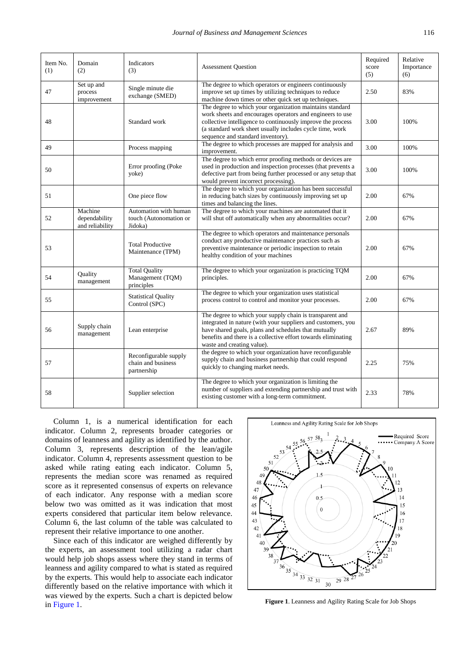| Item No.<br>(1) | Domain<br>(2)                               | <b>Indicators</b><br>(3)                                   | <b>Assessment Question</b>                                                                                                                                                                                                                                                            | Required<br>score<br>(5) | Relative<br>Importance<br>(6) |
|-----------------|---------------------------------------------|------------------------------------------------------------|---------------------------------------------------------------------------------------------------------------------------------------------------------------------------------------------------------------------------------------------------------------------------------------|--------------------------|-------------------------------|
| 47              | Set up and<br>process<br>improvement        | Single minute die<br>exchange (SMED)                       | The degree to which operators or engineers continuously<br>improve set up times by utilizing techniques to reduce<br>machine down times or other quick set up techniques.                                                                                                             | 2.50                     | 83%                           |
| 48              |                                             | Standard work                                              | The degree to which your organization maintains standard<br>work sheets and encourages operators and engineers to use<br>collective intelligence to continuously improve the process<br>(a standard work sheet usually includes cycle time, work<br>sequence and standard inventory). | 3.00                     | 100%                          |
| 49              |                                             | Process mapping                                            | The degree to which processes are mapped for analysis and<br>improvement.                                                                                                                                                                                                             | 3.00                     | 100%                          |
| 50              |                                             | Error proofing (Poke<br>yoke)                              | The degree to which error proofing methods or devices are<br>used in production and inspection processes (that prevents a<br>defective part from being further processed or any setup that<br>would prevent incorrect processing).                                                    | 3.00                     | 100%                          |
| 51              |                                             | One piece flow                                             | The degree to which your organization has been successful<br>in reducing batch sizes by continuously improving set up<br>times and balancing the lines.                                                                                                                               | 2.00                     | 67%                           |
| 52              | Machine<br>dependability<br>and reliability | Automation with human<br>touch (Autonomation or<br>Jidoka) | The degree to which your machines are automated that it<br>will shut off automatically when any abnormalities occur?                                                                                                                                                                  | 2.00                     | 67%                           |
| 53              |                                             | <b>Total Productive</b><br>Maintenance (TPM)               | The degree to which operators and maintenance personals<br>conduct any productive maintenance practices such as<br>preventive maintenance or periodic inspection to retain<br>healthy condition of your machines                                                                      | 2.00                     | 67%                           |
| 54              | Quality<br>management                       | <b>Total Quality</b><br>Management (TQM)<br>principles     | The degree to which your organization is practicing TQM<br>principles.                                                                                                                                                                                                                | 2.00                     | 67%                           |
| 55              |                                             | <b>Statistical Quality</b><br>Control (SPC)                | The degree to which your organization uses statistical<br>process control to control and monitor your processes.                                                                                                                                                                      | 2.00                     | 67%                           |
| 56              | Supply chain<br>management                  | Lean enterprise                                            | The degree to which your supply chain is transparent and<br>integrated in nature (with your suppliers and customers, you<br>have shared goals, plans and schedules that mutually<br>benefits and there is a collective effort towards eliminating<br>waste and creating value).       | 2.67                     | 89%                           |
| 57              |                                             | Reconfigurable supply<br>chain and business<br>partnership | the degree to which your organization have reconfigurable<br>supply chain and business partnership that could respond<br>quickly to changing market needs.                                                                                                                            | 2.25                     | 75%                           |
| 58              |                                             | Supplier selection                                         | The degree to which your organization is limiting the<br>number of suppliers and extending partnership and trust with<br>existing customer with a long-term commitment.                                                                                                               | 2.33                     | 78%                           |

Column 1, is a numerical identification for each indicator. Column 2, represents broader categories or domains of leanness and agility as identified by the author. Column 3, represents description of the lean/agile indicator. Column 4, represents assessment question to be asked while rating eating each indicator. Column 5, represents the median score was renamed as required score as it represented consensus of experts on relevance of each indicator. Any response with a median score below two was omitted as it was indication that most experts considered that particular item below relevance. Column 6, the last column of the table was calculated to represent their relative importance to one another.

Since each of this indicator are weighed differently by the experts, an assessment tool utilizing a radar chart would help job shops assess where they stand in terms of leanness and agility compared to what is stated as required by the experts. This would help to associate each indicator differently based on the relative importance with which it was viewed by the experts. Such a chart is depicted below in [Figure 1.](#page-4-0) **Figure 1**. Leanness and Agility Rating Scale for Job Shops

<span id="page-4-0"></span>